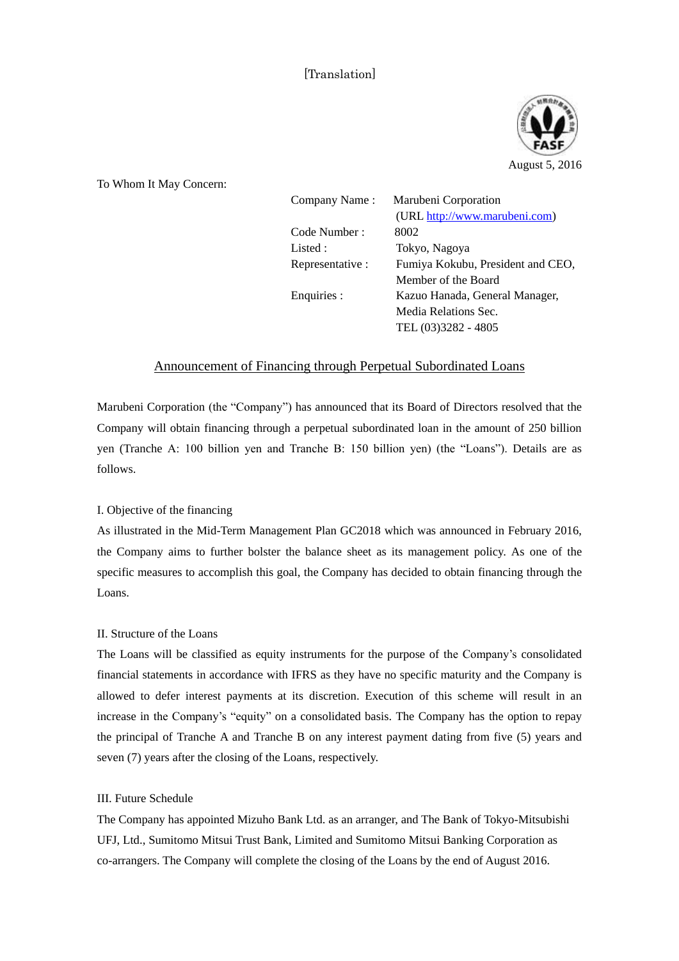# [Translation]



To Whom It May Concern:

| <b>WHOME IT MAY CONCENT.</b> |                  |                                   |
|------------------------------|------------------|-----------------------------------|
|                              | Company Name:    | Marubeni Corporation              |
|                              |                  | (URL http://www.marubeni.com)     |
|                              | Code Number:     | 8002                              |
|                              | Listed:          | Tokyo, Nagoya                     |
|                              | Representative : | Fumiya Kokubu, President and CEO, |
|                              |                  | Member of the Board               |
|                              | Enquiries :      | Kazuo Hanada, General Manager,    |
|                              |                  | Media Relations Sec.              |
|                              |                  | TEL (03)3282 - 4805               |
|                              |                  |                                   |

## Announcement of Financing through Perpetual Subordinated Loans

Marubeni Corporation (the "Company") has announced that its Board of Directors resolved that the Company will obtain financing through a perpetual subordinated loan in the amount of 250 billion yen (Tranche A: 100 billion yen and Tranche B: 150 billion yen) (the "Loans"). Details are as follows.

### I. Objective of the financing

As illustrated in the Mid-Term Management Plan GC2018 which was announced in February 2016, the Company aims to further bolster the balance sheet as its management policy. As one of the specific measures to accomplish this goal, the Company has decided to obtain financing through the Loans.

### II. Structure of the Loans

The Loans will be classified as equity instruments for the purpose of the Company's consolidated financial statements in accordance with IFRS as they have no specific maturity and the Company is allowed to defer interest payments at its discretion. Execution of this scheme will result in an increase in the Company's "equity" on a consolidated basis. The Company has the option to repay the principal of Tranche A and Tranche B on any interest payment dating from five (5) years and seven (7) years after the closing of the Loans, respectively.

### III. Future Schedule

The Company has appointed Mizuho Bank Ltd. as an arranger, and The Bank of Tokyo-Mitsubishi UFJ, Ltd., Sumitomo Mitsui Trust Bank, Limited and Sumitomo Mitsui Banking Corporation as co-arrangers. The Company will complete the closing of the Loans by the end of August 2016.